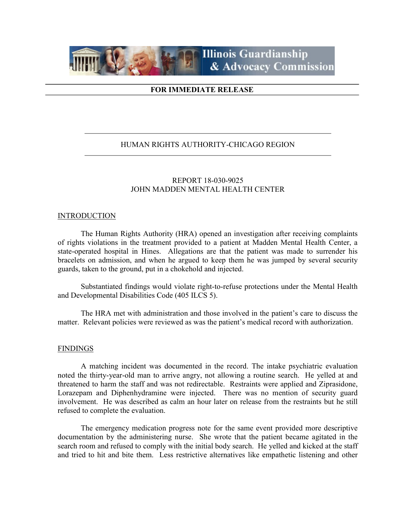

## FOR IMMEDIATE RELEASE

## HUMAN RIGHTS AUTHORITY-CHICAGO REGION

# REPORT 18-030-9025 JOHN MADDEN MENTAL HEALTH CENTER

### INTRODUCTION

 The Human Rights Authority (HRA) opened an investigation after receiving complaints of rights violations in the treatment provided to a patient at Madden Mental Health Center, a state-operated hospital in Hines. Allegations are that the patient was made to surrender his bracelets on admission, and when he argued to keep them he was jumped by several security guards, taken to the ground, put in a chokehold and injected.

Substantiated findings would violate right-to-refuse protections under the Mental Health and Developmental Disabilities Code (405 ILCS 5).

The HRA met with administration and those involved in the patient's care to discuss the matter. Relevant policies were reviewed as was the patient's medical record with authorization.

#### **FINDINGS**

 A matching incident was documented in the record. The intake psychiatric evaluation noted the thirty-year-old man to arrive angry, not allowing a routine search. He yelled at and threatened to harm the staff and was not redirectable. Restraints were applied and Ziprasidone, Lorazepam and Diphenhydramine were injected. There was no mention of security guard involvement. He was described as calm an hour later on release from the restraints but he still refused to complete the evaluation.

 The emergency medication progress note for the same event provided more descriptive documentation by the administering nurse. She wrote that the patient became agitated in the search room and refused to comply with the initial body search. He yelled and kicked at the staff and tried to hit and bite them. Less restrictive alternatives like empathetic listening and other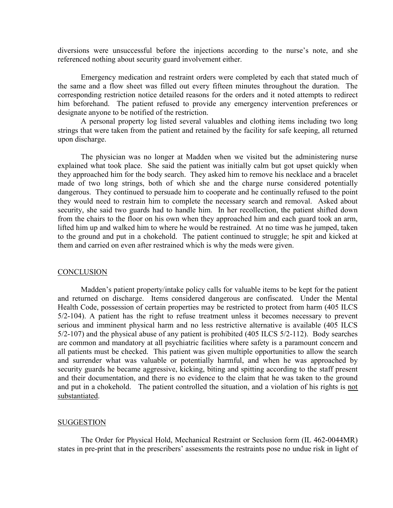diversions were unsuccessful before the injections according to the nurse's note, and she referenced nothing about security guard involvement either.

 Emergency medication and restraint orders were completed by each that stated much of the same and a flow sheet was filled out every fifteen minutes throughout the duration. The corresponding restriction notice detailed reasons for the orders and it noted attempts to redirect him beforehand. The patient refused to provide any emergency intervention preferences or designate anyone to be notified of the restriction.

 A personal property log listed several valuables and clothing items including two long strings that were taken from the patient and retained by the facility for safe keeping, all returned upon discharge.

 The physician was no longer at Madden when we visited but the administering nurse explained what took place. She said the patient was initially calm but got upset quickly when they approached him for the body search. They asked him to remove his necklace and a bracelet made of two long strings, both of which she and the charge nurse considered potentially dangerous. They continued to persuade him to cooperate and he continually refused to the point they would need to restrain him to complete the necessary search and removal. Asked about security, she said two guards had to handle him. In her recollection, the patient shifted down from the chairs to the floor on his own when they approached him and each guard took an arm, lifted him up and walked him to where he would be restrained. At no time was he jumped, taken to the ground and put in a chokehold. The patient continued to struggle; he spit and kicked at them and carried on even after restrained which is why the meds were given.

#### **CONCLUSION**

 Madden's patient property/intake policy calls for valuable items to be kept for the patient and returned on discharge. Items considered dangerous are confiscated. Under the Mental Health Code, possession of certain properties may be restricted to protect from harm (405 ILCS 5/2-104). A patient has the right to refuse treatment unless it becomes necessary to prevent serious and imminent physical harm and no less restrictive alternative is available (405 ILCS 5/2-107) and the physical abuse of any patient is prohibited (405 ILCS 5/2-112). Body searches are common and mandatory at all psychiatric facilities where safety is a paramount concern and all patients must be checked. This patient was given multiple opportunities to allow the search and surrender what was valuable or potentially harmful, and when he was approached by security guards he became aggressive, kicking, biting and spitting according to the staff present and their documentation, and there is no evidence to the claim that he was taken to the ground and put in a chokehold. The patient controlled the situation, and a violation of his rights is not substantiated.

#### SUGGESTION

The Order for Physical Hold, Mechanical Restraint or Seclusion form (IL 462-0044MR) states in pre-print that in the prescribers' assessments the restraints pose no undue risk in light of